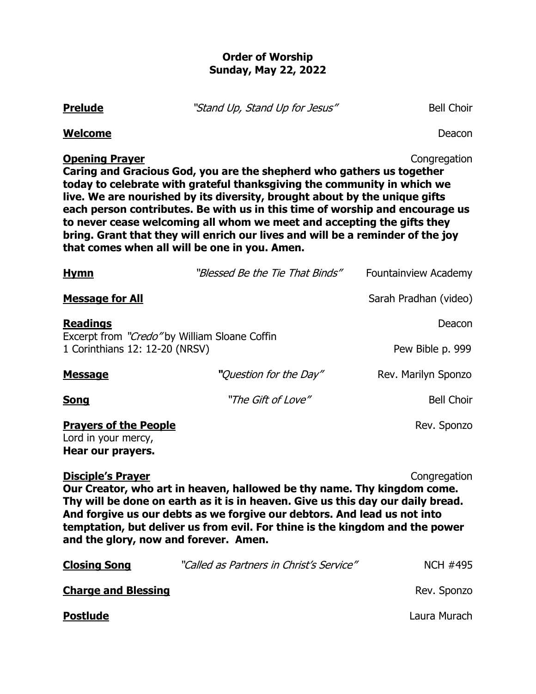### **Order of Worship Sunday, May 22, 2022**

**Prelude** "Stand Up, Stand Up for Jesus" Bell Choir

**Melcome** Deacon

# **Opening Prayer** Congregation

**Caring and Gracious God, you are the shepherd who gathers us together today to celebrate with grateful thanksgiving the community in which we live. We are nourished by its diversity, brought about by the unique gifts each person contributes. Be with us in this time of worship and encourage us to never cease welcoming all whom we meet and accepting the gifts they bring. Grant that they will enrich our lives and will be a reminder of the joy that comes when all will be one in you. Amen.**

| <b>Hymn</b>                                                                                                                                                                                            | "Blessed Be the Tie That Binds" | Fountainview Academy  |  |
|--------------------------------------------------------------------------------------------------------------------------------------------------------------------------------------------------------|---------------------------------|-----------------------|--|
| <b>Message for All</b>                                                                                                                                                                                 |                                 | Sarah Pradhan (video) |  |
| <b>Readings</b>                                                                                                                                                                                        |                                 | Deacon                |  |
| Excerpt from "Credo" by William Sloane Coffin<br>1 Corinthians 12: 12-20 (NRSV)                                                                                                                        |                                 | Pew Bible p. 999      |  |
| <b>Message</b>                                                                                                                                                                                         | "Question for the Day"          | Rev. Marilyn Sponzo   |  |
| <b>Song</b>                                                                                                                                                                                            | "The Gift of Love"              | <b>Bell Choir</b>     |  |
| <b>Prayers of the People</b><br>Lord in your mercy,<br>Hear our prayers.                                                                                                                               |                                 | Rev. Sponzo           |  |
| <b>Disciple's Prayer</b><br>Congregation<br>Our Creator, who art in heaven, hallowed be thy name. Thy kingdom come.<br>Thy will be done on earth as it is in heaven. Give us this day our daily bread. |                                 |                       |  |

**And forgive us our debts as we forgive our debtors. And lead us not into temptation, but deliver us from evil. For thine is the kingdom and the power and the glory, now and forever. Amen.**

| <b>Closing Song</b>        | "Called as Partners in Christ's Service" | <b>NCH #495</b> |
|----------------------------|------------------------------------------|-----------------|
| <b>Charge and Blessing</b> |                                          | Rev. Sponzo     |
| <b>Postlude</b>            |                                          | Laura Murach    |